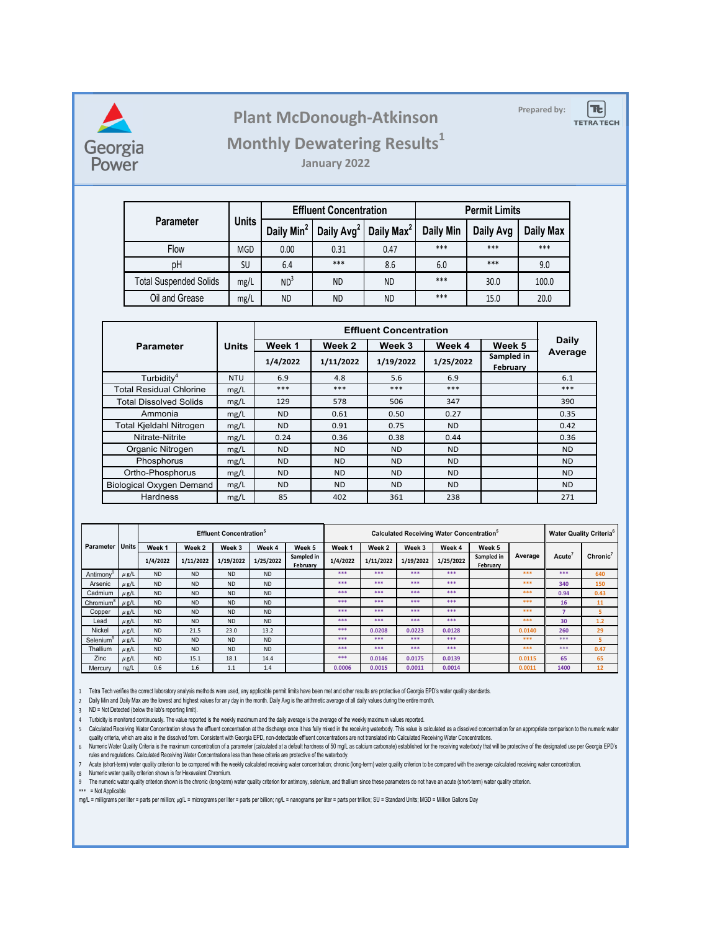

## Plant McDonough-Atkinson

 $|\mathbf{t}|$ 

**TETRA TECH** 

## **Monthly Dewatering Results<sup>1</sup>**

**January 2022**

|                               | <b>Units</b> |                        | <b>Effluent Concentration</b> |                        | <b>Permit Limits</b> |           |                  |  |
|-------------------------------|--------------|------------------------|-------------------------------|------------------------|----------------------|-----------|------------------|--|
| <b>Parameter</b>              |              | Daily Min <sup>2</sup> | Daily Avg <sup>2</sup>        | Daily Max <sup>2</sup> | <b>Daily Min</b>     | Daily Avg | <b>Daily Max</b> |  |
| Flow                          | <b>MGD</b>   | 0.00                   | 0.31                          | 0.47                   | ***                  | ***       | $***$            |  |
| pH                            | SU           | 6.4                    | ***                           | 8.6                    | 6.0                  | ***       | 9.0              |  |
| <b>Total Suspended Solids</b> | mg/L         | ND <sup>3</sup>        | <b>ND</b>                     | <b>ND</b>              | ***                  | 30.0      | 100.0            |  |
| Oil and Grease<br>mg/L        |              | <b>ND</b>              | <b>ND</b>                     | ND.                    | $***$                | 15.0      | 20.0             |  |

|                                         | <b>Units</b> |                |                |           |           |                        |              |
|-----------------------------------------|--------------|----------------|----------------|-----------|-----------|------------------------|--------------|
| <b>Parameter</b>                        |              | Week 1         | Week 2         | Week 3    | Week 4    | Week 5                 | <b>Daily</b> |
|                                         |              | 1/4/2022       | 1/11/2022      | 1/19/2022 | 1/25/2022 | Sampled in<br>February | Average      |
| Turbidity <sup>4</sup>                  | <b>NTU</b>   | 6.9            | 4.8            | 5.6       | 6.9       |                        | 6.1          |
| <b>Total Residual Chlorine</b>          | mg/L         | $***$          | ***            | ***       | $***$     |                        | ***          |
| <b>Total Dissolved Solids</b>           | mg/L         | 129            | 578            | 506       | 347       |                        | 390          |
| Ammonia                                 | mg/L         | N <sub>D</sub> | 0.61           | 0.50      | 0.27      |                        | 0.35         |
| Total Kjeldahl Nitrogen                 | mg/L         | <b>ND</b>      | 0.91           | 0.75      | ND.       |                        | 0.42         |
| Nitrate-Nitrite                         | mg/L         | 0.24           | 0.36           | 0.38      | 0.44      |                        | 0.36         |
| Organic Nitrogen                        | mg/L         | <b>ND</b>      | N <sub>D</sub> | <b>ND</b> | <b>ND</b> |                        | <b>ND</b>    |
| Phosphorus                              | mg/L         | <b>ND</b>      | ND.            | <b>ND</b> | <b>ND</b> |                        | <b>ND</b>    |
| Ortho-Phosphorus<br>mg/L                |              | <b>ND</b>      | <b>ND</b>      | <b>ND</b> | <b>ND</b> |                        | ND.          |
| <b>Biological Oxygen Demand</b><br>mg/L |              | ND.            | <b>ND</b>      | ND.       | <b>ND</b> |                        | ND.          |
| <b>Hardness</b>                         | mg/L         | 85             | 402            | 361       | 238       |                        | 271          |

|                       |           | <b>Effluent Concentration</b> <sup>5</sup> |           |           |           |                        | Calculated Receiving Water Concentration <sup>5</sup> |           |           |           |                        | <b>Water Quality Criteria<sup>6</sup></b> |                    |          |
|-----------------------|-----------|--------------------------------------------|-----------|-----------|-----------|------------------------|-------------------------------------------------------|-----------|-----------|-----------|------------------------|-------------------------------------------|--------------------|----------|
| Parameter   Units     |           | Week 1                                     | Week 2    | Week 3    | Week 4    | Week 5                 | Week 1                                                | Week 2    | Week 3    | Week 4    | Week 5                 |                                           |                    |          |
|                       |           | 1/4/2022                                   | 1/11/2022 | 1/19/2022 | 1/25/2022 | Sampled in<br>February | 1/4/2022                                              | 1/11/2022 | 1/19/2022 | 1/25/2022 | Sampled in<br>February | Average                                   | Acute <sup>®</sup> | Chronic' |
| Antimony              | $\mu$ g/L | <b>ND</b>                                  | <b>ND</b> | <b>ND</b> | <b>ND</b> |                        | ***                                                   | ***       | ***       | ***       |                        | ***                                       | ***                | 640      |
| Arsenic               | $\mu$ g/L | <b>ND</b>                                  | <b>ND</b> | <b>ND</b> | <b>ND</b> |                        | ***                                                   | ***       | ***       | ***       |                        | ***                                       | 340                | 150      |
| Cadmium               | $\mu$ g/L | <b>ND</b>                                  | <b>ND</b> | <b>ND</b> | <b>ND</b> |                        | ***                                                   | ***       | ***       | ***       |                        | ***                                       | 0.94               | 0.43     |
| Chromium <sup>8</sup> | $\mu$ g/L | <b>ND</b>                                  | <b>ND</b> | <b>ND</b> | <b>ND</b> |                        | ***                                                   | ***       | ***       | ***       |                        | ***                                       | 16                 | 11       |
| Copper                | $\mu$ g/L | <b>ND</b>                                  | <b>ND</b> | <b>ND</b> | <b>ND</b> |                        | ***                                                   | ***       | ***       | ***       |                        | ***                                       |                    | 5.       |
| Lead                  | $\mu$ g/L | <b>ND</b>                                  | <b>ND</b> | <b>ND</b> | <b>ND</b> |                        | ***                                                   | ***       | ***       | ***       |                        | ***                                       | 30                 | 1.2      |
| Nickel                | $\mu$ g/L | <b>ND</b>                                  | 21.5      | 23.0      | 13.2      |                        | ***                                                   | 0.0208    | 0.0223    | 0.0128    |                        | 0.0140                                    | 260                | 29       |
| Selenium®             | $\mu$ g/L | <b>ND</b>                                  | <b>ND</b> | <b>ND</b> | <b>ND</b> |                        | ***                                                   | ***       | ***       | ***       |                        | ***                                       | ***                | 5.       |
| Thallium              | $\mu$ g/L | <b>ND</b>                                  | <b>ND</b> | <b>ND</b> | <b>ND</b> |                        | ***                                                   | ***       | ***       | ***       |                        | ***                                       | ***                | 0.47     |
| Zinc                  | $\mu$ g/L | <b>ND</b>                                  | 15.1      | 18.1      | 14.4      |                        | ***                                                   | 0.0146    | 0.0175    | 0.0139    |                        | 0.0115                                    | 65                 | 65       |
| Mercury               | ng/L      | 0.6                                        | 1.6       | 1.1       | 1.4       |                        | 0.0006                                                | 0.0015    | 0.0011    | 0.0014    |                        | 0.0011                                    | 1400               | 12       |

1 Tetra Tech verifies the correct laboratory analysis methods were used, any applicable permit limits have been met and other results are protective of Georgia EPD's water quality standards.

2 Daily Min and Daily Max are the lowest and highest values for any day in the month. Daily Avg is the arithmetic average of all daily values during the entire month.

3 ND = Not Detected (below the lab's reporting limit).

4 Turbidity is monitored continuously. The value reported is the weekly maximum and the daily average is the average of the weekly maximum values reported.

5 Calculated Receiving water Concentration shows the effluent concentration at the discharge once it has fully mixed in the receiving waterbody. This value is calculated as a dissolved concentration for an appropriate comp quality criteria, which are also in the dissolved form. Consistent with Georgia EPD, non-detectable effluent concentrations are not translated into Calculated Receiving Water Concentrations.

6 Numeric water Quality Criteria is the maximum concentration of a parameter (calculated at a default nardness of 50 mg/L as calcium carbonate) established for the receiving waterbody that will be protective of the designa rules and regulations. Calculated Receiving Water Concentrations less than these criteria are protective of the waterbody.

7 Acute (short-term) water quality critenon to be compared with the weekly calculated receiving water concentration; chronic (long-term) water quality criterion to be compared with the average calculated receiving water co

8 Numeric water quality criterion shown is for Hexavalent Chromium.

9 The numeric water quality criterion shown is the chronic (long-term) water quality criterion for antimony, selenium, and thallium since these parameters do not have an acute (short-term) water quality criterion.

\*\*\* = Not Applicable

mg/L = milligrams per liter = parts per million; µg/L = micrograms per liter = parts per billion; ng/L = nanograms per liter = parts per trillion; SU = Standard Units; MGD = Million Gallons Day